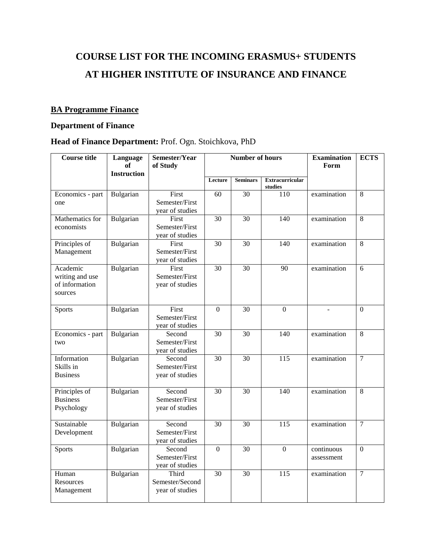# **COURSE LIST FOR THE INCOMING ERASMUS+ STUDENTS AT HIGHER INSTITUTE OF INSURANCE AND FINANCE**

#### **BA Programme Finance**

### **Department of Finance**

| <b>Course title</b>                                      | Language<br>of<br><b>Instruction</b> | Semester/Year<br>of Study                          |                 | <b>Number of hours</b> |                                   | <b>Examination</b><br>Form | <b>ECTS</b>    |
|----------------------------------------------------------|--------------------------------------|----------------------------------------------------|-----------------|------------------------|-----------------------------------|----------------------------|----------------|
|                                                          |                                      |                                                    | Lecture         | <b>Seminars</b>        | <b>Extracurricular</b><br>studies |                            |                |
| Economics - part<br>one                                  | Bulgarian                            | First<br>Semester/First<br>year of studies         | 60              | 30                     | 110                               | examination                | 8              |
| Mathematics for<br>economists                            | Bulgarian                            | First<br>Semester/First<br>year of studies         | 30              | 30                     | 140                               | examination                | 8              |
| Principles of<br>Management                              | Bulgarian                            | First<br>Semester/First<br>year of studies         | $\overline{30}$ | 30                     | $\overline{140}$                  | examination                | $\overline{8}$ |
| Academic<br>writing and use<br>of information<br>sources | Bulgarian                            | First<br>Semester/First<br>year of studies         | 30              | 30                     | 90                                | examination                | 6              |
| <b>Sports</b>                                            | Bulgarian                            | First<br>Semester/First<br>year of studies         | $\theta$        | 30                     | $\overline{0}$                    |                            | $\Omega$       |
| Economics - part<br>two                                  | Bulgarian                            | Second<br>Semester/First<br>year of studies        | 30              | 30                     | 140                               | examination                | 8              |
| Information<br>Skills in<br><b>Business</b>              | Bulgarian                            | Second<br>Semester/First<br>year of studies        | 30              | 30                     | 115                               | examination                | $\overline{7}$ |
| Principles of<br><b>Business</b><br>Psychology           | Bulgarian                            | Second<br>Semester/First<br>year of studies        | $\overline{30}$ | $\overline{30}$        | 140                               | examination                | $\overline{8}$ |
| Sustainable<br>Development                               | Bulgarian                            | Second<br>Semester/First<br>year of studies        | 30              | 30                     | 115                               | examination                | $\overline{7}$ |
| <b>Sports</b>                                            | Bulgarian                            | Second<br>Semester/First<br>year of studies        | $\overline{0}$  | 30                     | $\mathbf{0}$                      | continuous<br>assessment   | $\mathbf{0}$   |
| Human<br>Resources<br>Management                         | Bulgarian                            | <b>Third</b><br>Semester/Second<br>year of studies | 30              | 30                     | $\frac{115}{115}$                 | examination                | $\overline{7}$ |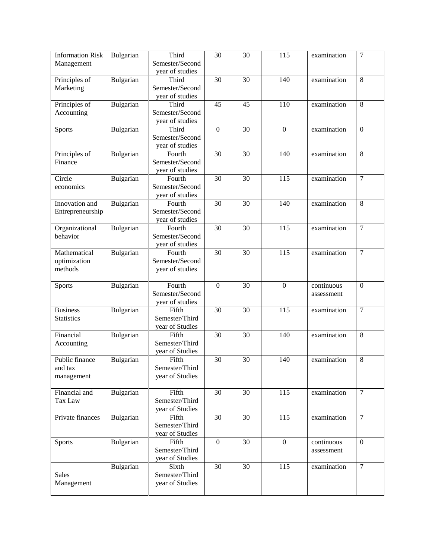| <b>Information Risk</b><br>Management | Bulgarian | Third<br>Semester/Second  | $\overline{30}$  | 30              | 115              | examination | $\overline{7}$ |
|---------------------------------------|-----------|---------------------------|------------------|-----------------|------------------|-------------|----------------|
|                                       |           | year of studies           |                  |                 |                  |             |                |
| Principles of                         | Bulgarian | Third                     | 30               | 30              | 140              | examination | 8              |
| Marketing                             |           | Semester/Second           |                  |                 |                  |             |                |
| Principles of                         | Bulgarian | year of studies<br>Third  | 45               | 45              | 110              | examination | 8              |
| Accounting                            |           | Semester/Second           |                  |                 |                  |             |                |
|                                       |           | year of studies           |                  |                 |                  |             |                |
| Sports                                | Bulgarian | Third                     | $\overline{0}$   | $\overline{30}$ | $\boldsymbol{0}$ | examination | $\overline{0}$ |
|                                       |           | Semester/Second           |                  |                 |                  |             |                |
|                                       |           | year of studies           |                  |                 |                  |             |                |
| Principles of                         | Bulgarian | Fourth                    | 30               | 30              | 140              | examination | 8              |
| Finance                               |           | Semester/Second           |                  |                 |                  |             |                |
|                                       |           | year of studies           |                  |                 |                  |             |                |
| Circle                                | Bulgarian | Fourth                    | 30               | 30              | 115              | examination | $\overline{7}$ |
| economics                             |           | Semester/Second           |                  |                 |                  |             |                |
| Innovation and                        |           | year of studies<br>Fourth | $\overline{30}$  | 30              | $\overline{140}$ | examination | 8              |
| Entrepreneurship                      | Bulgarian | Semester/Second           |                  |                 |                  |             |                |
|                                       |           | year of studies           |                  |                 |                  |             |                |
| Organizational                        | Bulgarian | Fourth                    | 30               | 30              | 115              | examination | $\overline{7}$ |
| behavior                              |           | Semester/Second           |                  |                 |                  |             |                |
|                                       |           | year of studies           |                  |                 |                  |             |                |
| Mathematical                          | Bulgarian | Fourth                    | 30               | 30              | 115              | examination | $\overline{7}$ |
| optimization                          |           | Semester/Second           |                  |                 |                  |             |                |
| methods                               |           | year of studies           |                  |                 |                  |             |                |
|                                       |           |                           |                  |                 |                  |             |                |
| Sports                                | Bulgarian | Fourth                    | $\mathbf{0}$     | 30              | $\boldsymbol{0}$ | continuous  | $\mathbf{0}$   |
|                                       |           | Semester/Second           |                  |                 |                  | assessment  |                |
| <b>Business</b>                       | Bulgarian | year of studies<br>Fifth  | 30               | 30              | $\overline{115}$ | examination | $\overline{7}$ |
| <b>Statistics</b>                     |           | Semester/Third            |                  |                 |                  |             |                |
|                                       |           | year of Studies           |                  |                 |                  |             |                |
| Financial                             | Bulgarian | Fifth                     | 30               | 30              | 140              | examination | 8              |
| Accounting                            |           | Semester/Third            |                  |                 |                  |             |                |
|                                       |           | year of Studies           |                  |                 |                  |             |                |
| Public finance                        | Bulgarian | Fifth                     | 30               | $\overline{30}$ | 140              | examination | 8              |
| and tax                               |           | Semester/Third            |                  |                 |                  |             |                |
| management                            |           | year of Studies           |                  |                 |                  |             |                |
|                                       |           |                           |                  |                 |                  |             |                |
| Financial and                         | Bulgarian | Fifth<br>Semester/Third   | 30               | 30              | 115              | examination | $\overline{7}$ |
| Tax Law                               |           | year of Studies           |                  |                 |                  |             |                |
| Private finances                      | Bulgarian | Fifth                     | 30               | 30              | $\overline{115}$ | examination | $\overline{7}$ |
|                                       |           | Semester/Third            |                  |                 |                  |             |                |
|                                       |           | year of Studies           |                  |                 |                  |             |                |
| Sports                                | Bulgarian | Fifth                     | $\boldsymbol{0}$ | 30              | $\boldsymbol{0}$ | continuous  | $\overline{0}$ |
|                                       |           | Semester/Third            |                  |                 |                  | assessment  |                |
|                                       |           | year of Studies           |                  |                 |                  |             |                |
|                                       | Bulgarian | Sixth                     | 30               | 30              | 115              | examination | $\overline{7}$ |
| <b>Sales</b>                          |           | Semester/Third            |                  |                 |                  |             |                |
| Management                            |           | year of Studies           |                  |                 |                  |             |                |
|                                       |           |                           |                  |                 |                  |             |                |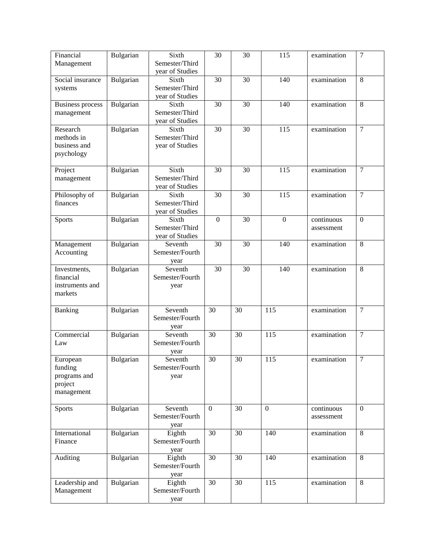| Financial<br>Management                                      | Bulgarian        | Sixth<br>Semester/Third<br>year of Studies | 30               | 30 | 115              | examination              | $\overline{7}$ |
|--------------------------------------------------------------|------------------|--------------------------------------------|------------------|----|------------------|--------------------------|----------------|
| Social insurance<br>systems                                  | Bulgarian        | Sixth<br>Semester/Third<br>year of Studies | 30               | 30 | 140              | examination              | 8              |
| <b>Business process</b><br>management                        | Bulgarian        | Sixth<br>Semester/Third<br>year of Studies | 30               | 30 | 140              | examination              | 8              |
| Research<br>methods in<br>business and<br>psychology         | Bulgarian        | Sixth<br>Semester/Third<br>year of Studies | 30               | 30 | $\overline{115}$ | examination              | $\overline{7}$ |
| Project<br>management                                        | Bulgarian        | Sixth<br>Semester/Third<br>year of Studies | 30               | 30 | 115              | examination              | $\tau$         |
| Philosophy of<br>finances                                    | Bulgarian        | Sixth<br>Semester/Third<br>year of Studies | 30               | 30 | $\overline{115}$ | examination              | $\overline{7}$ |
| Sports                                                       | Bulgarian        | Sixth<br>Semester/Third<br>year of Studies | $\boldsymbol{0}$ | 30 | $\boldsymbol{0}$ | continuous<br>assessment | $\mathbf{0}$   |
| Management<br>Accounting                                     | Bulgarian        | Seventh<br>Semester/Fourth<br>year         | 30               | 30 | 140              | examination              | 8              |
| Investments,<br>financial<br>instruments and<br>markets      | Bulgarian        | Seventh<br>Semester/Fourth<br>year         | $\overline{30}$  | 30 | 140              | examination              | 8              |
| Banking                                                      | <b>Bulgarian</b> | Seventh<br>Semester/Fourth<br>year         | 30               | 30 | 115              | examination              | $\tau$         |
| Commercial<br>Law                                            | Bulgarian        | Seventh<br>Semester/Fourth<br>year         | 30               | 30 | 115              | examination              | $\overline{7}$ |
| European<br>funding<br>programs and<br>project<br>management | Bulgarian        | Seventh<br>Semester/Fourth<br>year         | 30               | 30 | 115              | examination              | $\overline{7}$ |
| <b>Sports</b>                                                | Bulgarian        | Seventh<br>Semester/Fourth<br>year         | $\overline{0}$   | 30 | $\theta$         | continuous<br>assessment | $\overline{0}$ |
| International<br>Finance                                     | Bulgarian        | Eighth<br>Semester/Fourth<br>year          | $\overline{30}$  | 30 | 140              | examination              | 8              |
| Auditing                                                     | Bulgarian        | Eighth<br>Semester/Fourth<br>year          | 30               | 30 | 140              | examination              | 8              |
| Leadership and<br>Management                                 | Bulgarian        | Eighth<br>Semester/Fourth<br>year          | 30               | 30 | 115              | examination              | 8              |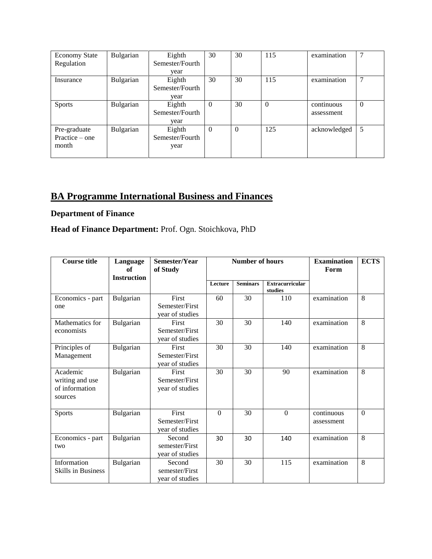| <b>Economy State</b> | Bulgarian | Eighth          | 30       | 30       | 115      | examination  |          |
|----------------------|-----------|-----------------|----------|----------|----------|--------------|----------|
| Regulation           |           | Semester/Fourth |          |          |          |              |          |
|                      |           | year            |          |          |          |              |          |
| Insurance            | Bulgarian | Eighth          | 30       | 30       | 115      | examination  |          |
|                      |           | Semester/Fourth |          |          |          |              |          |
|                      |           | year            |          |          |          |              |          |
| <b>Sports</b>        | Bulgarian | Eighth          | $\Omega$ | 30       | $\Omega$ | continuous   | $\theta$ |
|                      |           | Semester/Fourth |          |          |          | assessment   |          |
|                      |           | year            |          |          |          |              |          |
| Pre-graduate         | Bulgarian | Eighth          | $\Omega$ | $\Omega$ | 125      | acknowledged | 5        |
| Practice $-$ one     |           | Semester/Fourth |          |          |          |              |          |
| month                |           | year            |          |          |          |              |          |
|                      |           |                 |          |          |          |              |          |

## **BA Programme International Business and Finances**

## **Department of Finance**

| <b>Course title</b>                                      | Language<br>of<br><b>Instruction</b> | Semester/Year<br>of Study                         |          | <b>Number of hours</b> | <b>Examination</b><br>Form        | <b>ECTS</b>              |          |
|----------------------------------------------------------|--------------------------------------|---------------------------------------------------|----------|------------------------|-----------------------------------|--------------------------|----------|
|                                                          |                                      |                                                   | Lecture  | <b>Seminars</b>        | <b>Extracurricular</b><br>studies |                          |          |
| Economics - part<br>one                                  | Bulgarian                            | First<br>Semester/First<br>year of studies        | 60       | 30                     | 110                               | examination              | 8        |
| Mathematics for<br>economists                            | Bulgarian                            | First<br>Semester/First<br>year of studies        | 30       | 30                     | 140                               | examination              | 8        |
| Principles of<br>Management                              | Bulgarian                            | First<br>Semester/First<br>year of studies        | 30       | 30                     | 140                               | examination              | 8        |
| Academic<br>writing and use<br>of information<br>sources | Bulgarian                            | First<br>Semester/First<br>year of studies        | 30       | 30                     | 90                                | examination              | 8        |
| <b>Sports</b>                                            | Bulgarian                            | <b>First</b><br>Semester/First<br>year of studies | $\Omega$ | 30                     | $\Omega$                          | continuous<br>assessment | $\Omega$ |
| Economics - part<br>two                                  | Bulgarian                            | Second<br>semester/First<br>year of studies       | 30       | 30                     | 140                               | examination              | 8        |
| Information<br><b>Skills in Business</b>                 | Bulgarian                            | Second<br>semester/First<br>year of studies       | 30       | 30                     | 115                               | examination              | 8        |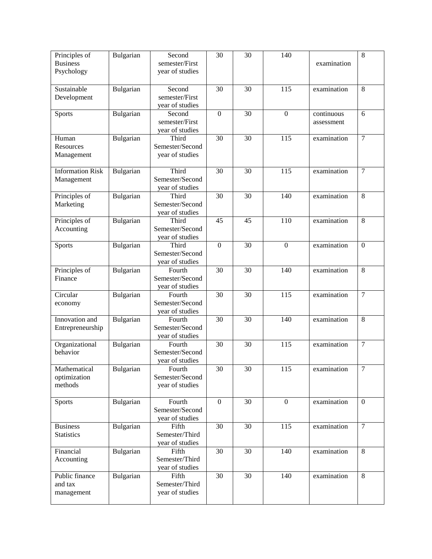| Principles of<br><b>Business</b><br>Psychology | Bulgarian        | Second<br>semester/First<br>year of studies  | 30               | $\overline{30}$ | 140            | examination              | $\overline{8}$   |
|------------------------------------------------|------------------|----------------------------------------------|------------------|-----------------|----------------|--------------------------|------------------|
| Sustainable<br>Development                     | Bulgarian        | Second<br>semester/First<br>year of studies  | 30               | 30              | 115            | examination              | 8                |
| Sports                                         | Bulgarian        | Second<br>semester/First<br>year of studies  | $\boldsymbol{0}$ | 30              | $\mathbf{0}$   | continuous<br>assessment | 6                |
| Human<br>Resources<br>Management               | Bulgarian        | Third<br>Semester/Second<br>year of studies  | 30               | 30              | 115            | examination              | $\tau$           |
| <b>Information Risk</b><br>Management          | Bulgarian        | Third<br>Semester/Second<br>year of studies  | 30               | 30              | 115            | examination              | $\overline{7}$   |
| Principles of<br>Marketing                     | Bulgarian        | Third<br>Semester/Second<br>year of studies  | 30               | 30              | 140            | examination              | 8                |
| Principles of<br>Accounting                    | Bulgarian        | Third<br>Semester/Second<br>year of studies  | 45               | 45              | 110            | examination              | 8                |
| <b>Sports</b>                                  | Bulgarian        | Third<br>Semester/Second<br>year of studies  | $\boldsymbol{0}$ | 30              | $\overline{0}$ | examination              | $\boldsymbol{0}$ |
| Principles of<br>Finance                       | Bulgarian        | Fourth<br>Semester/Second<br>year of studies | 30               | 30              | 140            | examination              | 8                |
| Circular<br>economy                            | Bulgarian        | Fourth<br>Semester/Second<br>year of studies | 30               | 30              | 115            | examination              | $\overline{7}$   |
| Innovation and<br>Entrepreneurship             | Bulgarian        | Fourth<br>Semester/Second<br>year of studies | 30               | 30              | 140            | examination              | 8                |
| Organizational<br>behavior                     | Bulgarian        | Fourth<br>Semester/Second<br>year of studies | 30               | 30              | 115            | examination              | $\overline{7}$   |
| Mathematical<br>optimization<br>methods        | <b>Bulgarian</b> | Fourth<br>Semester/Second<br>year of studies | 30               | 30              | 115            | examination              | 7                |
| <b>Sports</b>                                  | Bulgarian        | Fourth<br>Semester/Second<br>year of studies | $\boldsymbol{0}$ | 30              | $\overline{0}$ | examination              | $\overline{0}$   |
| <b>Business</b><br><b>Statistics</b>           | Bulgarian        | Fifth<br>Semester/Third<br>year of studies   | 30               | 30              | 115            | examination              | $\overline{7}$   |
| Financial<br>Accounting                        | Bulgarian        | Fifth<br>Semester/Third<br>year of studies   | 30               | 30              | 140            | examination              | 8                |
| Public finance<br>and tax<br>management        | Bulgarian        | Fifth<br>Semester/Third<br>year of studies   | 30               | 30              | 140            | examination              | 8                |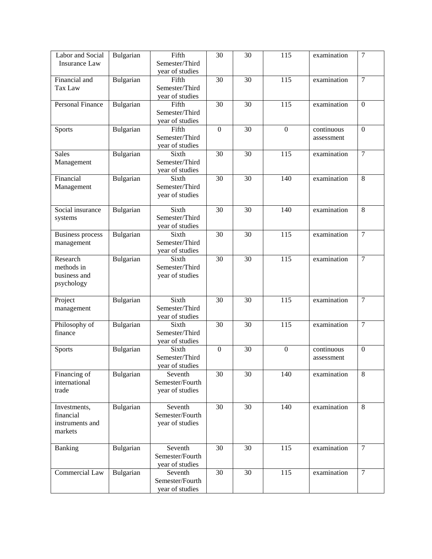| Labor and Social              | Bulgarian        | Fifth                      | $\overline{30}$ | $\overline{30}$ | 115              | examination | $\overline{7}$ |
|-------------------------------|------------------|----------------------------|-----------------|-----------------|------------------|-------------|----------------|
| <b>Insurance Law</b>          |                  | Semester/Third             |                 |                 |                  |             |                |
| Financial and                 | Bulgarian        | year of studies<br>Fifth   | 30              | 30              | 115              | examination | $\overline{7}$ |
| Tax Law                       |                  | Semester/Third             |                 |                 |                  |             |                |
|                               |                  | year of studies            |                 |                 |                  |             |                |
| Personal Finance              | Bulgarian        | Fifth                      | 30              | 30              | 115              | examination | $\overline{0}$ |
|                               |                  | Semester/Third             |                 |                 |                  |             |                |
|                               |                  | year of studies            |                 |                 |                  |             |                |
| <b>Sports</b>                 | Bulgarian        | Fifth                      | $\overline{0}$  | $\overline{30}$ | $\overline{0}$   | continuous  | $\overline{0}$ |
|                               |                  | Semester/Third             |                 |                 |                  | assessment  |                |
| <b>Sales</b>                  |                  | year of studies<br>Sixth   | 30              | 30              | 115              |             | $\overline{7}$ |
| Management                    | Bulgarian        | Semester/Third             |                 |                 |                  | examination |                |
|                               |                  | year of studies            |                 |                 |                  |             |                |
| Financial                     | Bulgarian        | Sixth                      | 30              | 30              | 140              | examination | 8              |
| Management                    |                  | Semester/Third             |                 |                 |                  |             |                |
|                               |                  | year of studies            |                 |                 |                  |             |                |
|                               |                  |                            |                 |                 |                  |             |                |
| Social insurance              | Bulgarian        | Sixth<br>Semester/Third    | 30              | 30              | 140              | examination | 8              |
| systems                       |                  | year of studies            |                 |                 |                  |             |                |
| <b>Business process</b>       | Bulgarian        | Sixth                      | 30              | 30              | 115              | examination | $\overline{7}$ |
| management                    |                  | Semester/Third             |                 |                 |                  |             |                |
|                               |                  | year of studies            |                 |                 |                  |             |                |
| Research                      | Bulgarian        | Sixth                      | 30              | 30              | 115              | examination | $\overline{7}$ |
| methods in                    |                  | Semester/Third             |                 |                 |                  |             |                |
| business and                  |                  | year of studies            |                 |                 |                  |             |                |
| psychology                    |                  |                            |                 |                 |                  |             |                |
| Project                       | <b>Bulgarian</b> | Sixth                      | 30              | 30              | 115              | examination | $\tau$         |
| management                    |                  | Semester/Third             |                 |                 |                  |             |                |
|                               |                  | year of studies            |                 |                 |                  |             |                |
| Philosophy of                 | Bulgarian        | Sixth                      | 30              | 30              | 115              | examination | $\overline{7}$ |
| finance                       |                  | Semester/Third             |                 |                 |                  |             |                |
|                               |                  | year of studies            |                 |                 |                  |             |                |
| Sports                        | Bulgarian        | Sixth                      | $\mathbf{0}$    | $\overline{30}$ | $\overline{0}$   | continuous  | $\overline{0}$ |
|                               |                  | Semester/Third             |                 |                 |                  | assessment  |                |
|                               |                  | year of studies            |                 |                 |                  |             |                |
| Financing of<br>international | Bulgarian        | Seventh<br>Semester/Fourth | 30              | 30              | 140              | examination | 8              |
| trade                         |                  | year of studies            |                 |                 |                  |             |                |
|                               |                  |                            |                 |                 |                  |             |                |
| Investments,                  | Bulgarian        | Seventh                    | 30              | 30              | 140              | examination | $\,8\,$        |
| financial                     |                  | Semester/Fourth            |                 |                 |                  |             |                |
| instruments and               |                  | year of studies            |                 |                 |                  |             |                |
| markets                       |                  |                            |                 |                 |                  |             |                |
|                               |                  |                            |                 |                 |                  |             |                |
| Banking                       | Bulgarian        | Seventh<br>Semester/Fourth | $\overline{30}$ | $\overline{30}$ | $\overline{115}$ | examination | $\overline{7}$ |
|                               |                  | year of studies            |                 |                 |                  |             |                |
| Commercial Law                | Bulgarian        | Seventh                    | 30              | 30              | 115              | examination | $\tau$         |
|                               |                  | Semester/Fourth            |                 |                 |                  |             |                |
|                               |                  | year of studies            |                 |                 |                  |             |                |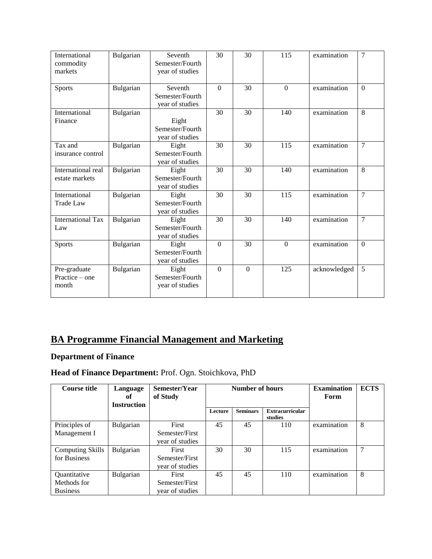| International<br>commodity<br>markets     | Bulgarian | Seventh<br>Semester/Fourth<br>year of studies | 30             | 30       | 115              | examination  | $\overline{7}$ |
|-------------------------------------------|-----------|-----------------------------------------------|----------------|----------|------------------|--------------|----------------|
| <b>Sports</b>                             | Bulgarian | Seventh<br>Semester/Fourth<br>year of studies | $\Omega$       | 30       | $\Omega$         | examination  | $\Omega$       |
| International<br>Finance                  | Bulgarian | Eight<br>Semester/Fourth<br>year of studies   | 30             | 30       | 140              | examination  | 8              |
| Tax and<br>insurance control              | Bulgarian | Eight<br>Semester/Fourth<br>year of studies   | 30             | 30       | 115              | examination  | $\overline{7}$ |
| International real<br>estate markets      | Bulgarian | Eight<br>Semester/Fourth<br>year of studies   | 30             | 30       | 140              | examination  | 8              |
| International<br><b>Trade Law</b>         | Bulgarian | Eight<br>Semester/Fourth<br>year of studies   | 30             | 30       | $\overline{115}$ | examination  | $\overline{7}$ |
| <b>International Tax</b><br>Law           | Bulgarian | Eight<br>Semester/Fourth<br>year of studies   | 30             | 30       | 140              | examination  | $\overline{7}$ |
| <b>Sports</b>                             | Bulgarian | Eight<br>Semester/Fourth<br>year of studies   | $\overline{0}$ | 30       | $\Omega$         | examination  | $\Omega$       |
| Pre-graduate<br>Practice $-$ one<br>month | Bulgarian | Eight<br>Semester/Fourth<br>year of studies   | $\Omega$       | $\Omega$ | 125              | acknowledged | 5              |

# **BA Programme Financial Management and Marketing**

## **Department of Finance**

| <b>Course title</b>     | Semester/Year<br>Language<br>of Study<br>оf<br><b>Instruction</b> |                 |         | Number of hours | <b>Examination</b><br>Form        | <b>ECTS</b> |   |
|-------------------------|-------------------------------------------------------------------|-----------------|---------|-----------------|-----------------------------------|-------------|---|
|                         |                                                                   |                 | Lecture | <b>Seminars</b> | <b>Extracurricular</b><br>studies |             |   |
| Principles of           | Bulgarian                                                         | First           | 45      | 45              | 110                               | examination | 8 |
| Management I            |                                                                   | Semester/First  |         |                 |                                   |             |   |
|                         |                                                                   | year of studies |         |                 |                                   |             |   |
| <b>Computing Skills</b> | Bulgarian                                                         | First           | 30      | 30              | 115                               | examination | 7 |
| for Business            |                                                                   | Semester/First  |         |                 |                                   |             |   |
|                         |                                                                   | year of studies |         |                 |                                   |             |   |
| Quantitative            | Bulgarian                                                         | First           | 45      | 45              | 110                               | examination | 8 |
| Methods for             |                                                                   | Semester/First  |         |                 |                                   |             |   |
| <b>Business</b>         |                                                                   | year of studies |         |                 |                                   |             |   |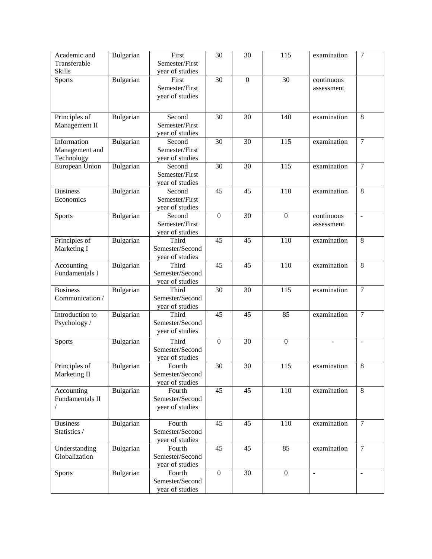| Academic and                  | Bulgarian | First                     | 30               | 30               | 115              | examination | $\overline{7}$ |
|-------------------------------|-----------|---------------------------|------------------|------------------|------------------|-------------|----------------|
| Transferable                  |           | Semester/First            |                  |                  |                  |             |                |
| <b>Skills</b>                 |           | year of studies           |                  |                  |                  |             |                |
| Sports                        | Bulgarian | First                     | 30               | $\boldsymbol{0}$ | 30               | continuous  |                |
|                               |           | Semester/First            |                  |                  |                  | assessment  |                |
|                               |           | year of studies           |                  |                  |                  |             |                |
|                               |           |                           |                  |                  |                  |             |                |
| Principles of                 | Bulgarian | Second                    | 30               | 30               | 140              | examination | 8              |
| Management II                 |           | Semester/First            |                  |                  |                  |             |                |
|                               |           | year of studies           |                  |                  |                  |             |                |
| Information                   | Bulgarian | Second                    | 30               | $\overline{30}$  | 115              | examination | $\overline{7}$ |
| Management and                |           | Semester/First            |                  |                  |                  |             |                |
| Technology                    |           | year of studies           |                  |                  |                  |             |                |
| European Union                | Bulgarian | Second                    | 30               | 30               | 115              | examination | $\tau$         |
|                               |           | Semester/First            |                  |                  |                  |             |                |
|                               |           | year of studies           |                  |                  |                  |             |                |
| <b>Business</b>               | Bulgarian | Second                    | 45               | 45               | 110              | examination | 8              |
| Economics                     |           | Semester/First            |                  |                  |                  |             |                |
|                               |           | year of studies           |                  |                  |                  |             |                |
| <b>Sports</b>                 | Bulgarian | Second                    | $\boldsymbol{0}$ | $\overline{30}$  | $\boldsymbol{0}$ | continuous  | $\blacksquare$ |
|                               |           | Semester/First            |                  |                  |                  | assessment  |                |
|                               |           | year of studies           |                  |                  |                  |             |                |
| Principles of                 | Bulgarian | Third                     | 45               | 45               | 110              | examination | 8              |
| Marketing I                   |           | Semester/Second           |                  |                  |                  |             |                |
|                               |           | year of studies           |                  |                  |                  |             |                |
| Accounting                    | Bulgarian | Third                     | 45               | 45               | 110              | examination | 8              |
| Fundamentals I                |           | Semester/Second           |                  |                  |                  |             |                |
|                               |           | year of studies           |                  |                  |                  |             |                |
| <b>Business</b>               | Bulgarian | Third                     | 30               | 30               | 115              | examination | $\overline{7}$ |
| Communication /               |           | Semester/Second           |                  |                  |                  |             |                |
|                               |           | year of studies           |                  |                  |                  |             |                |
| Introduction to               | Bulgarian | Third<br>Semester/Second  | 45               | 45               | 85               | examination | $\tau$         |
| Psychology /                  |           | year of studies           |                  |                  |                  |             |                |
|                               |           |                           |                  |                  |                  |             |                |
| Sports                        | Bulgarian | Third                     | $\overline{0}$   | 30               | $\overline{0}$   |             | $\overline{a}$ |
|                               |           | Semester/Second           |                  |                  |                  |             |                |
|                               |           | year of studies           |                  |                  |                  |             |                |
| Principles of<br>Marketing II | Bulgarian | Fourth<br>Semester/Second | 30               | 30               | 115              | examination | $\,8\,$        |
|                               |           | year of studies           |                  |                  |                  |             |                |
| Accounting                    | Bulgarian | Fourth                    | 45               | 45               | 110              | examination | 8              |
| Fundamentals II               |           | Semester/Second           |                  |                  |                  |             |                |
|                               |           | year of studies           |                  |                  |                  |             |                |
|                               |           |                           |                  |                  |                  |             |                |
| <b>Business</b>               | Bulgarian | Fourth                    | 45               | 45               | 110              | examination | $\overline{7}$ |
| Statistics /                  |           | Semester/Second           |                  |                  |                  |             |                |
|                               |           | year of studies           |                  |                  |                  |             |                |
| Understanding                 | Bulgarian | Fourth                    | 45               | 45               | 85               | examination | $\overline{7}$ |
| Globalization                 |           | Semester/Second           |                  |                  |                  |             |                |
|                               |           | year of studies           |                  |                  |                  |             |                |
| Sports                        | Bulgarian | Fourth                    | $\boldsymbol{0}$ | 30               | $\mathbf{0}$     |             |                |
|                               |           | Semester/Second           |                  |                  |                  |             |                |
|                               |           | year of studies           |                  |                  |                  |             |                |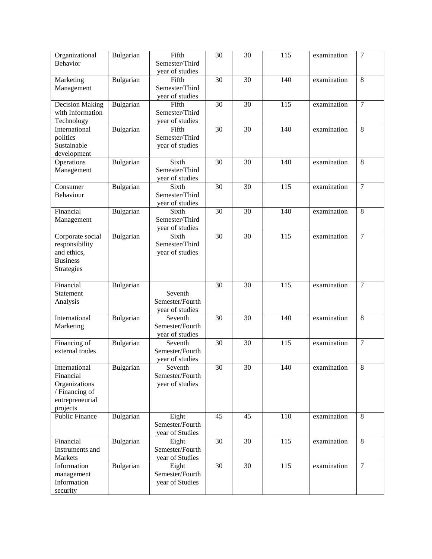| Organizational                    | Bulgarian | Fifth           | $\overline{30}$ | $\overline{30}$ | $\overline{115}$ | examination | $\overline{7}$ |
|-----------------------------------|-----------|-----------------|-----------------|-----------------|------------------|-------------|----------------|
| <b>Behavior</b>                   |           | Semester/Third  |                 |                 |                  |             |                |
|                                   |           | year of studies |                 |                 |                  |             |                |
| Marketing                         | Bulgarian | Fifth           | 30              | 30              | 140              | examination | $\overline{8}$ |
| Management                        |           | Semester/Third  |                 |                 |                  |             |                |
|                                   |           | year of studies |                 |                 |                  |             |                |
| <b>Decision Making</b>            | Bulgarian | Fifth           | 30              | 30              | 115              | examination | $\overline{7}$ |
| with Information                  |           | Semester/Third  |                 |                 |                  |             |                |
| Technology                        |           | year of studies |                 |                 |                  |             |                |
| International                     | Bulgarian | Fifth           | 30              | $\overline{30}$ | 140              | examination | $\overline{8}$ |
|                                   |           | Semester/Third  |                 |                 |                  |             |                |
| politics<br>Sustainable           |           |                 |                 |                 |                  |             |                |
|                                   |           | year of studies |                 |                 |                  |             |                |
| development                       |           |                 |                 |                 |                  |             |                |
| Operations                        | Bulgarian | Sixth           | 30              | 30              | 140              | examination | 8              |
| Management                        |           | Semester/Third  |                 |                 |                  |             |                |
|                                   |           | year of studies |                 |                 |                  |             |                |
| Consumer                          | Bulgarian | Sixth           | 30              | 30              | 115              | examination | $\overline{7}$ |
| Behaviour                         |           | Semester/Third  |                 |                 |                  |             |                |
|                                   |           | year of studies |                 |                 |                  |             |                |
| Financial                         | Bulgarian | Sixth           | 30              | 30              | 140              | examination | 8              |
| Management                        |           | Semester/Third  |                 |                 |                  |             |                |
|                                   |           | year of studies |                 |                 |                  |             |                |
| Corporate social                  | Bulgarian | Sixth           | $\overline{30}$ | $\overline{30}$ | $\overline{115}$ | examination | $\overline{7}$ |
| responsibility                    |           | Semester/Third  |                 |                 |                  |             |                |
| and ethics,                       |           | year of studies |                 |                 |                  |             |                |
| <b>Business</b>                   |           |                 |                 |                 |                  |             |                |
| Strategies                        |           |                 |                 |                 |                  |             |                |
|                                   |           |                 |                 |                 |                  |             |                |
| Financial                         | Bulgarian |                 | 30              | 30              | 115              | examination | $\overline{7}$ |
| Statement                         |           | Seventh         |                 |                 |                  |             |                |
| Analysis                          |           | Semester/Fourth |                 |                 |                  |             |                |
|                                   |           | year of studies |                 |                 |                  |             |                |
| International                     | Bulgarian | Seventh         | 30              | 30              | 140              | examination | 8              |
| Marketing                         |           | Semester/Fourth |                 |                 |                  |             |                |
|                                   |           | year of studies |                 |                 |                  |             |                |
| Financing of                      | Bulgarian | Seventh         | $\overline{30}$ | $\overline{30}$ | 115              | examination | $\tau$         |
| external trades                   |           | Semester/Fourth |                 |                 |                  |             |                |
|                                   |           | year of studies |                 |                 |                  |             |                |
| International                     | Bulgarian | Seventh         | $\overline{30}$ | $\overline{30}$ | 140              | examination | $\overline{8}$ |
| Financial                         |           | Semester/Fourth |                 |                 |                  |             |                |
| Organizations                     |           | year of studies |                 |                 |                  |             |                |
|                                   |           |                 |                 |                 |                  |             |                |
| / Financing of<br>entrepreneurial |           |                 |                 |                 |                  |             |                |
|                                   |           |                 |                 |                 |                  |             |                |
| projects                          |           |                 |                 |                 |                  |             |                |
| Public Finance                    | Bulgarian | Eight           | 45              | 45              | 110              | examination | 8              |
|                                   |           | Semester/Fourth |                 |                 |                  |             |                |
|                                   |           | year of Studies |                 |                 |                  |             |                |
| Financial                         | Bulgarian | Eight           | 30              | 30              | 115              | examination | 8              |
| Instruments and                   |           | Semester/Fourth |                 |                 |                  |             |                |
| Markets                           |           | year of Studies |                 |                 |                  |             |                |
| Information                       | Bulgarian | Eight           | 30              | 30              | 115              | examination | $\overline{7}$ |
| management                        |           | Semester/Fourth |                 |                 |                  |             |                |
| Information                       |           | year of Studies |                 |                 |                  |             |                |
| security                          |           |                 |                 |                 |                  |             |                |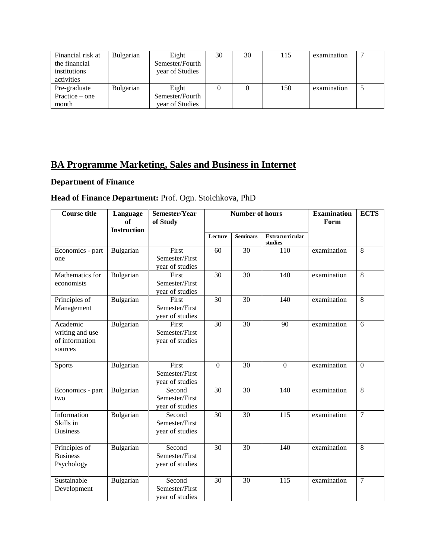| Financial risk at | Bulgarian | Eight           | 30 | 30 | 115 | examination |  |
|-------------------|-----------|-----------------|----|----|-----|-------------|--|
| the financial     |           | Semester/Fourth |    |    |     |             |  |
| institutions      |           | year of Studies |    |    |     |             |  |
| activities        |           |                 |    |    |     |             |  |
| Pre-graduate      | Bulgarian | Eight           |    |    | 150 | examination |  |
| Practice $-$ one  |           | Semester/Fourth |    |    |     |             |  |
| month             |           | year of Studies |    |    |     |             |  |

## **BA Programme Marketing, Sales and Business in Internet**

### **Department of Finance**

| <b>Course title</b>                                      | Language<br>of     | Semester/Year<br>of Study                   | <b>Number of hours</b> |                 |                                   | <b>Examination</b><br>Form | <b>ECTS</b>    |
|----------------------------------------------------------|--------------------|---------------------------------------------|------------------------|-----------------|-----------------------------------|----------------------------|----------------|
|                                                          | <b>Instruction</b> |                                             |                        |                 |                                   |                            |                |
|                                                          |                    |                                             | Lecture                | <b>Seminars</b> | <b>Extracurricular</b><br>studies |                            |                |
| Economics - part<br>one                                  | Bulgarian          | First<br>Semester/First<br>year of studies  | 60                     | 30              | 110                               | examination                | 8              |
| Mathematics for<br>economists                            | Bulgarian          | First<br>Semester/First<br>year of studies  | 30                     | 30              | 140                               | examination                | 8              |
| Principles of<br>Management                              | Bulgarian          | First<br>Semester/First<br>year of studies  | 30                     | 30              | 140                               | examination                | 8              |
| Academic<br>writing and use<br>of information<br>sources | Bulgarian          | First<br>Semester/First<br>year of studies  | 30                     | $\overline{30}$ | 90                                | examination                | 6              |
| <b>Sports</b>                                            | Bulgarian          | First<br>Semester/First<br>year of studies  | $\Omega$               | 30              | $\overline{0}$                    | examination                | $\overline{0}$ |
| Economics - part<br>two                                  | Bulgarian          | Second<br>Semester/First<br>year of studies | 30                     | 30              | $\overline{1}40$                  | examination                | 8              |
| Information<br>Skills in<br><b>Business</b>              | Bulgarian          | Second<br>Semester/First<br>year of studies | $\overline{30}$        | 30              | $\frac{115}{115}$                 | examination                | $\overline{7}$ |
| Principles of<br><b>Business</b><br>Psychology           | Bulgarian          | Second<br>Semester/First<br>year of studies | 30                     | 30              | 140                               | examination                | 8              |
| Sustainable<br>Development                               | Bulgarian          | Second<br>Semester/First<br>year of studies | $\overline{30}$        | $\overline{30}$ | 115                               | examination                | $\overline{7}$ |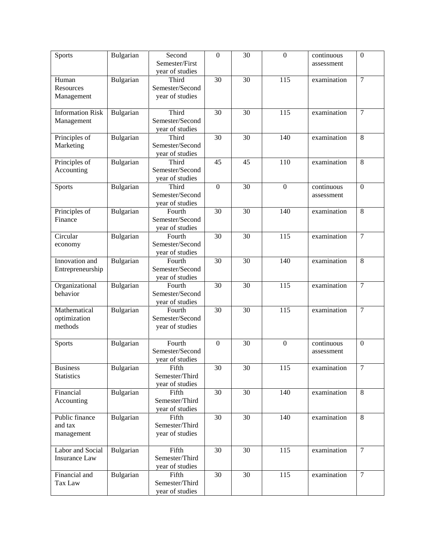| Sports                                   | Bulgarian | Second<br>Semester/First<br>year of studies  | $\overline{0}$   | 30              | $\overline{0}$   | continuous<br>assessment | $\boldsymbol{0}$ |
|------------------------------------------|-----------|----------------------------------------------|------------------|-----------------|------------------|--------------------------|------------------|
| Human<br>Resources<br>Management         | Bulgarian | Third<br>Semester/Second<br>year of studies  | 30               | 30              | 115              | examination              | $\overline{7}$   |
| <b>Information Risk</b><br>Management    | Bulgarian | Third<br>Semester/Second<br>year of studies  | 30               | 30              | 115              | examination              | $\overline{7}$   |
| Principles of<br>Marketing               | Bulgarian | Third<br>Semester/Second<br>year of studies  | 30               | 30              | 140              | examination              | 8                |
| Principles of<br>Accounting              | Bulgarian | Third<br>Semester/Second<br>year of studies  | 45               | 45              | 110              | examination              | 8                |
| Sports                                   | Bulgarian | Third<br>Semester/Second<br>year of studies  | $\boldsymbol{0}$ | 30              | $\mathbf{0}$     | continuous<br>assessment | $\boldsymbol{0}$ |
| Principles of<br>Finance                 | Bulgarian | Fourth<br>Semester/Second<br>year of studies | 30               | 30              | 140              | examination              | 8                |
| Circular<br>economy                      | Bulgarian | Fourth<br>Semester/Second<br>year of studies | $\overline{30}$  | 30              | $\overline{115}$ | examination              | $\overline{7}$   |
| Innovation and<br>Entrepreneurship       | Bulgarian | Fourth<br>Semester/Second<br>year of studies | 30               | 30              | 140              | examination              | 8                |
| Organizational<br>behavior               | Bulgarian | Fourth<br>Semester/Second<br>year of studies | 30               | 30              | 115              | examination              | $\overline{7}$   |
| Mathematical<br>optimization<br>methods  | Bulgarian | Fourth<br>Semester/Second<br>year of studies | 30               | 30              | $\overline{115}$ | examination              | $\overline{7}$   |
| Sports                                   | Bulgarian | Fourth<br>Semester/Second<br>year of studies | $\boldsymbol{0}$ | 30              | $\mathbf{0}$     | continuous<br>assessment | $\mathbf{0}$     |
| <b>Business</b><br><b>Statistics</b>     | Bulgarian | Fifth<br>Semester/Third<br>year of studies   | $\overline{30}$  | $\overline{30}$ | 115              | examination              | $\overline{7}$   |
| Financial<br>Accounting                  | Bulgarian | Fifth<br>Semester/Third<br>year of studies   | 30               | 30              | 140              | examination              | 8                |
| Public finance<br>and tax<br>management  | Bulgarian | Fifth<br>Semester/Third<br>year of studies   | 30               | 30              | 140              | examination              | 8                |
| Labor and Social<br><b>Insurance Law</b> | Bulgarian | Fifth<br>Semester/Third<br>year of studies   | 30               | 30              | 115              | examination              | $\overline{7}$   |
| Financial and<br>Tax Law                 | Bulgarian | Fifth<br>Semester/Third<br>year of studies   | 30               | 30              | 115              | examination              | $\overline{7}$   |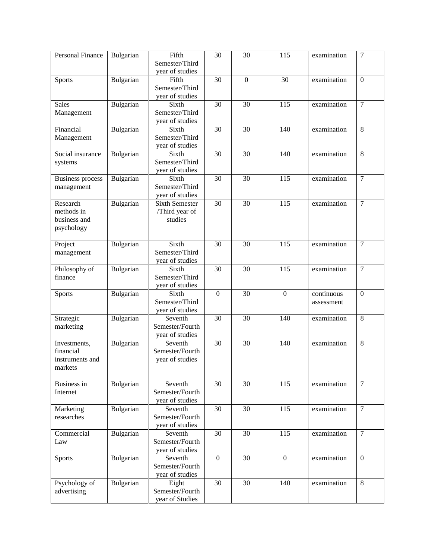| Personal Finance                                        | Bulgarian | Fifth<br>Semester/Third<br>year of studies         | $\overline{30}$  | 30              | 115               | examination              | $\overline{7}$   |
|---------------------------------------------------------|-----------|----------------------------------------------------|------------------|-----------------|-------------------|--------------------------|------------------|
| Sports                                                  | Bulgarian | Fifth<br>Semester/Third<br>year of studies         | 30               | $\mathbf{0}$    | 30                | examination              | $\overline{0}$   |
| <b>Sales</b><br>Management                              | Bulgarian | Sixth<br>Semester/Third<br>year of studies         | 30               | 30              | 115               | examination              | $\overline{7}$   |
| Financial<br>Management                                 | Bulgarian | Sixth<br>Semester/Third<br>year of studies         | 30               | 30              | 140               | examination              | $\overline{8}$   |
| Social insurance<br>systems                             | Bulgarian | Sixth<br>Semester/Third<br>year of studies         | 30               | 30              | 140               | examination              | 8                |
| <b>Business process</b><br>management                   | Bulgarian | Sixth<br>Semester/Third<br>year of studies         | 30               | 30              | 115               | examination              | $\overline{7}$   |
| Research<br>methods in<br>business and<br>psychology    | Bulgarian | <b>Sixth Semester</b><br>/Third year of<br>studies | 30               | 30              | $\frac{115}{115}$ | examination              | $\overline{7}$   |
| Project<br>management                                   | Bulgarian | Sixth<br>Semester/Third<br>year of studies         | 30               | 30              | 115               | examination              | $\overline{7}$   |
| Philosophy of<br>finance                                | Bulgarian | Sixth<br>Semester/Third<br>year of studies         | 30               | 30              | $\frac{115}{115}$ | examination              | $\tau$           |
| <b>Sports</b>                                           | Bulgarian | Sixth<br>Semester/Third<br>year of studies         | $\boldsymbol{0}$ | 30              | $\boldsymbol{0}$  | continuous<br>assessment | $\boldsymbol{0}$ |
| Strategic<br>marketing                                  | Bulgarian | Seventh<br>Semester/Fourth<br>year of studies      | 30               | 30              | 140               | examination              | 8                |
| Investments,<br>financial<br>instruments and<br>markets | Bulgarian | Seventh<br>Semester/Fourth<br>year of studies      | $\overline{30}$  | 30              | 140               | examination              | 8                |
| Business in<br>Internet                                 | Bulgarian | Seventh<br>Semester/Fourth<br>year of studies      | 30               | 30              | 115               | examination              | $\overline{7}$   |
| Marketing<br>researches                                 | Bulgarian | Seventh<br>Semester/Fourth<br>year of studies      | $\overline{30}$  | $\overline{30}$ | $\overline{115}$  | examination              | $\overline{7}$   |
| Commercial<br>Law                                       | Bulgarian | Seventh<br>Semester/Fourth<br>year of studies      | 30               | 30              | 115               | examination              | $\overline{7}$   |
| Sports                                                  | Bulgarian | Seventh<br>Semester/Fourth<br>year of studies      | $\boldsymbol{0}$ | 30              | $\boldsymbol{0}$  | examination              | $\boldsymbol{0}$ |
| Psychology of<br>advertising                            | Bulgarian | Eight<br>Semester/Fourth<br>year of Studies        | 30               | 30              | 140               | examination              | 8                |